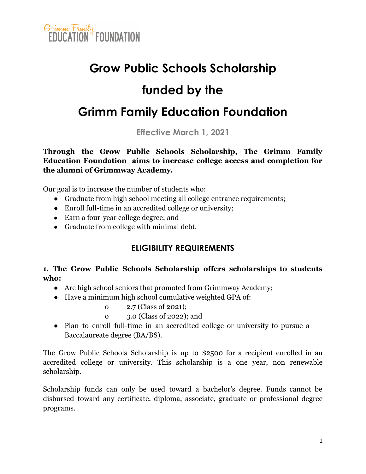

## **Grow Public Schools Scholarship funded by the**

### **Grimm Family Education Foundation**

**Effective March 1, 2021**

**Through the Grow Public Schools Scholarship, The Grimm Family Education Foundation aims to increase college access and completion for the alumni of Grimmway Academy.**

Our goal is to increase the number of students who:

- Graduate from high school meeting all college entrance requirements;
- Enroll full-time in an accredited college or university;
- Earn a four-year college degree; and
- Graduate from college with minimal debt.

#### **ELIGIBILITY REQUIREMENTS**

#### **1. The Grow Public Schools Scholarship offers scholarships to students who:**

- Are high school seniors that promoted from Grimmway Academy;
- Have a minimum high school cumulative weighted GPA of:
	- o 2.7 (Class of 2021);
	- o 3.0 (Class of 2022); and
- Plan to enroll full-time in an accredited college or university to pursue a Baccalaureate degree (BA/BS).

The Grow Public Schools Scholarship is up to \$2500 for a recipient enrolled in an accredited college or university. This scholarship is a one year, non renewable scholarship.

Scholarship funds can only be used toward a bachelor's degree. Funds cannot be disbursed toward any certificate, diploma, associate, graduate or professional degree programs.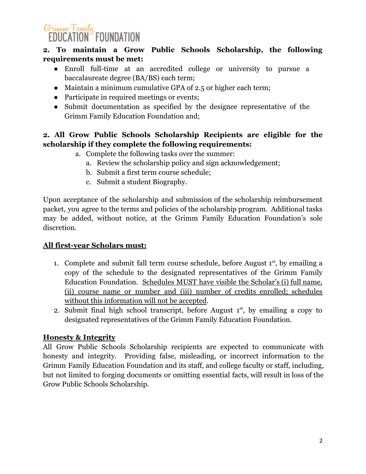#### Grimm Family **EDUCATION FOUNDATION**

#### **2. To maintain a Grow Public Schools Scholarship, the following requirements must be met:**

- Enroll full-time at an accredited college or university to pursue a baccalaureate degree (BA/BS) each term;
- Maintain a minimum cumulative GPA of 2.5 or higher each term;
- Participate in required meetings or events;
- Submit documentation as specified by the designee representative of the Grimm Family Education Foundation and;

#### **2. All Grow Public Schools Scholarship Recipients are eligible for the scholarship if they complete the following requirements:**

- a. Complete the following tasks over the summer:
	- a. Review the scholarship policy and sign acknowledgement;
	- b. Submit a first term course schedule;
	- c. Submit a student Biography.

Upon acceptance of the scholarship and submission of the scholarship reimbursement packet, you agree to the terms and policies of the scholarship program. Additional tasks may be added, without notice, at the Grimm Family Education Foundation's sole discretion.

#### **All first-year Scholars must:**

- 1. Complete and submit fall term course schedule, before August  $1<sup>st</sup>$ , by emailing a copy of the schedule to the designated representatives of the Grimm Family Education Foundation. Schedules MUST have visible the Scholar's (i) full name, (ii) course name or number and (iii) number of credits enrolled; schedules without this information will not be accepted.
- 2. Submit final high school transcript, before August  $1<sup>st</sup>$ , by emailing a copy to designated representatives of the Grimm Family Education Foundation.

#### **Honesty & Integrity**

All Grow Public Schools Scholarship recipients are expected to communicate with honesty and integrity. Providing false, misleading, or incorrect information to the Grimm Family Education Foundation and its staff, and college faculty or staff, including, but not limited to forging documents or omitting essential facts, will result in loss of the Grow Public Schools Scholarship.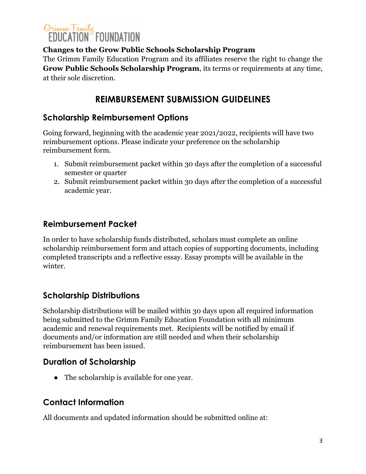## Grimm Family<br>EDUCATION FOUNDATION

#### **Changes to the Grow Public Schools Scholarship Program**

The Grimm Family Education Program and its affiliates reserve the right to change the **Grow Public Schools Scholarship Program**, its terms or requirements at any time, at their sole discretion.

#### **REIMBURSEMENT SUBMISSION GUIDELINES**

#### **Scholarship Reimbursement Options**

Going forward, beginning with the academic year 2021/2022, recipients will have two reimbursement options. Please indicate your preference on the scholarship reimbursement form.

- 1. Submit reimbursement packet within 30 days after the completion of a successful semester or quarter
- 2. Submit reimbursement packet within 30 days after the completion of a successful academic year.

#### **Reimbursement Packet**

In order to have scholarship funds distributed, scholars must complete an online scholarship reimbursement form and attach copies of supporting documents, including completed transcripts and a reflective essay. Essay prompts will be available in the winter.

#### **Scholarship Distributions**

Scholarship distributions will be mailed within 30 days upon all required information being submitted to the Grimm Family Education Foundation with all minimum academic and renewal requirements met. Recipients will be notified by email if documents and/or information are still needed and when their scholarship reimbursement has been issued.

#### **Duration of Scholarship**

● The scholarship is available for one year.

#### **Contact Information**

All documents and updated information should be submitted online at: